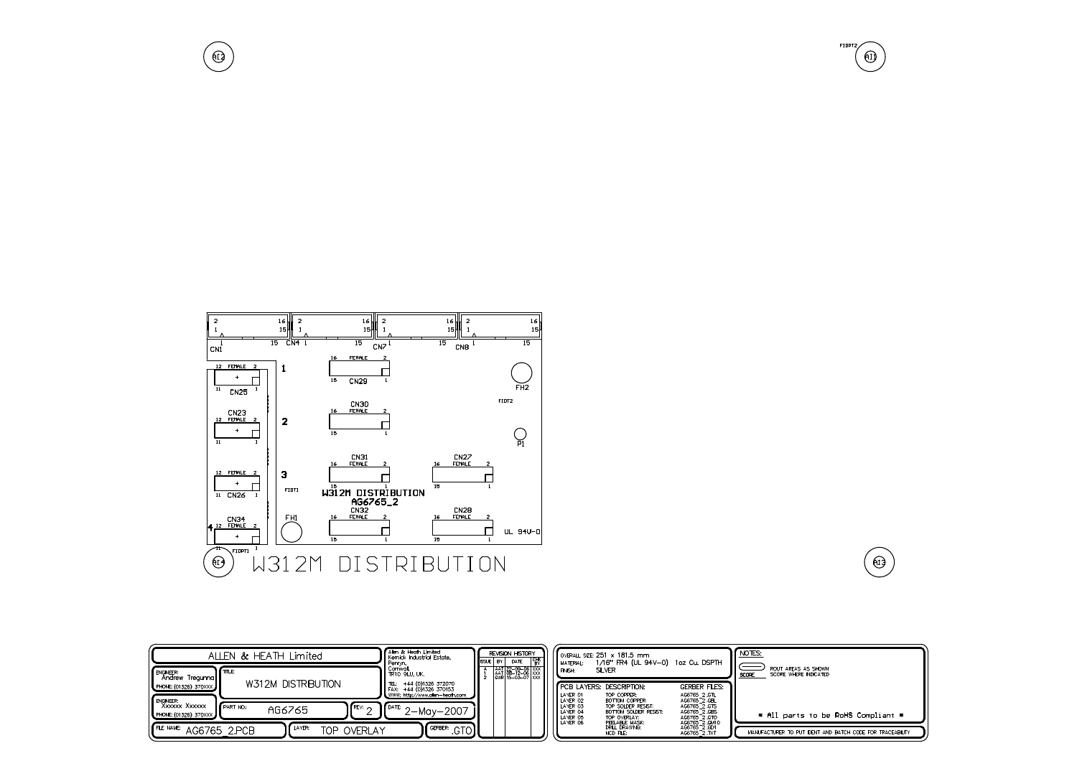

 $\bigoplus$ 

| ALLEN & HEATH Limited                                                               |                                                                             | Alen & Heath Limited<br>Kemick Industrial Estate.<br>Penryn.                                                          | REVISION HISTORY<br><b>I</b> IISSUE<br>l BY I<br>DATE    |                                                                                                                                                | OVERALL SIZE: 251 x 181.5 mm<br>1/16" FR4 (UL 94V-0) 1oz Cu. DSPTH                             | NOTES:                                                                                          |
|-------------------------------------------------------------------------------------|-----------------------------------------------------------------------------|-----------------------------------------------------------------------------------------------------------------------|----------------------------------------------------------|------------------------------------------------------------------------------------------------------------------------------------------------|------------------------------------------------------------------------------------------------|-------------------------------------------------------------------------------------------------|
| ENGINEER:<br>Andrew Tregunna<br>PHONE: (01326) 370XXX<br>ENGINEER:<br>XXXXXX XXXXXX | l fπn F<br>W312M DISTRIBUTION                                               | Comwall.<br>TR10 9LU, UK.<br>+44 (0)1326 372070<br>ITEL:<br>FAX: +44 (0)1326 370153<br>WWW: http://www.alen-heath.com | AAT 22-09-06 XXX<br>AAT 08-12-06 XXX<br>GWR 15-03-07 XXX | MATERIAL:<br>SILVER<br><b>FINISH:</b><br><b>F</b> PCB LAYERS: DESCRIPTION:<br>TOP COPPER:<br>LAYER 01<br>LAYER 02<br>BOTTOM COPPER:            | <b>GERBER FILES:</b><br>AG6765 2.GTL<br>AG6765_2.GBL                                           | ROUT AREAS AS SHOWN<br>SCORE WHERE INDICATED<br>SCORE                                           |
| PHONE: (01326) 370XXX<br>FLE NAME:<br>AG6765 2.PCB                                  | <b>If REV:</b> $\sim$<br>PART NO:<br>AG6765<br>II LAYER:<br>OVERLAY<br>TOP. | $\angle$   $\sqrt{\frac{64\pi}{2}-Mgy-2007}$<br>$\Gamma$ <sup>GERBER</sup> : .GTO $\Gamma$                            |                                                          | LAYER 03<br>TOP SOLDER RESIST:<br>LAYER 04<br>BOTTOM SOLDER RESIST:<br>LAYER 05<br>TOP OVERLAY:<br>PEELABLE MASK:<br>DRILL DRAWNG:<br>NCD FLE: | AG6765 2 GTS<br>AG6765 2.GBS<br>AG6765 2.GTO<br>AG6765 2, GM10<br>AG6765 2.GD1<br>AG6765 2.TXT | * All parts to be RoHS Compliant *<br>MANUFACTURER TO PUT IDENT AND BATCH CODE FOR TRACEABLITY. |

FIDPT2  $\left( \bigoplus \right)$ 

 $\left(\bigoplus_{i=1}^{n} \mathbb{I}\right)$